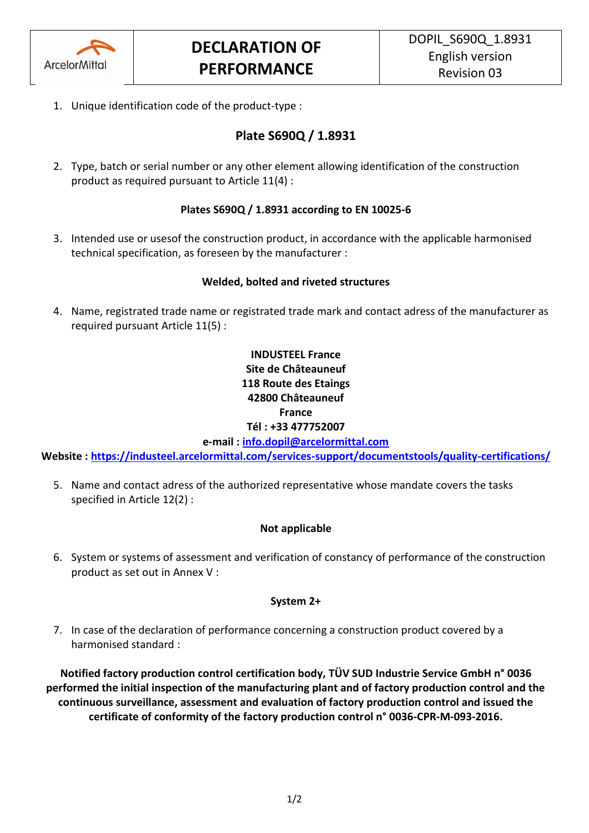

1. Unique identification code of the product-type :

# **Plate S690Q / 1.8931**

2. Type, batch or serial number or any other element allowing identification of the construction product as required pursuant to Article 11(4) :

## **Plates S690Q / 1.8931 according to EN 10025-6**

3. Intended use or usesof the construction product, in accordance with the applicable harmonised technical specification, as foreseen by the manufacturer :

## **Welded, bolted and riveted structures**

4. Name, registrated trade name or registrated trade mark and contact adress of the manufacturer as required pursuant Article 11(5) :

# **INDUSTEEL France Site de Châteauneuf 118 Route des Etaings 42800 Châteauneuf France Tél : +33 477752007**

**e-mail : [info.dopil@arcelormittal.com](mailto:info.dopil@arcelormittal.com)**

**Website :<https://industeel.arcelormittal.com/services-support/documentstools/quality-certifications/>**

5. Name and contact adress of the authorized representative whose mandate covers the tasks specified in Article 12(2) :

## **Not applicable**

6. System or systems of assessment and verification of constancy of performance of the construction product as set out in Annex V :

#### **System 2+**

7. In case of the declaration of performance concerning a construction product covered by a harmonised standard :

**Notified factory production control certification body, TÜV SUD Industrie Service GmbH n° 0036 performed the initial inspection of the manufacturing plant and of factory production control and the continuous surveillance, assessment and evaluation of factory production control and issued the certificate of conformity of the factory production control n° 0036-CPR-M-093-2016.**